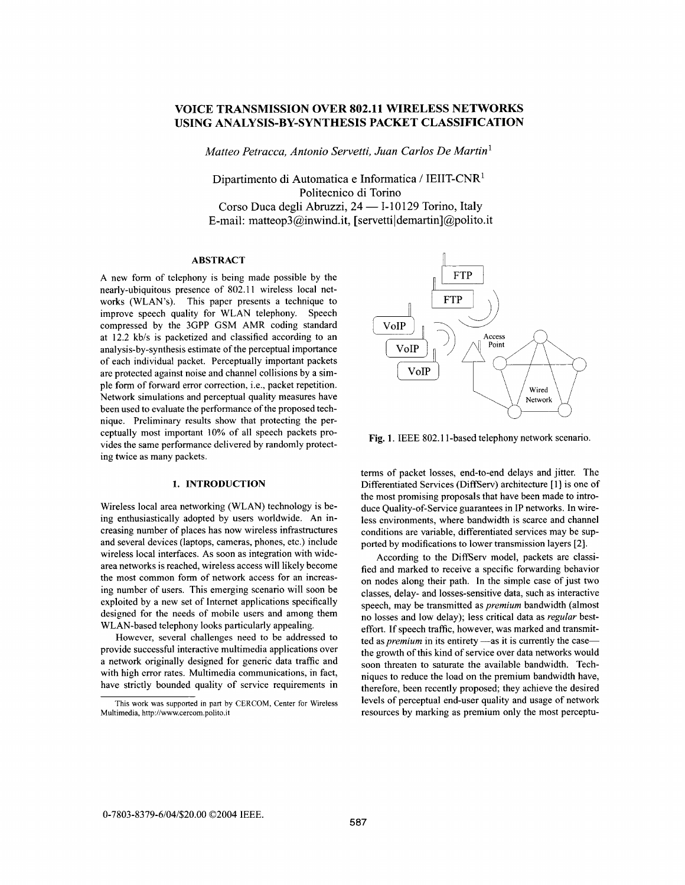# **VOICE TRANSMISSION OVER 802.11 WIRELESS NETWORKS USING ANALYSIS-BY-SYNTHESIS PACKET CLASSIFICATION**

*Matteo Petracca, Antonio Sewetti, Juan Carlos De Martin* 

Dipartimento di Automatica e Informatica / IEIIT-CNR1 Politecnico di Torino Corso Duca degli Abruzzi, 24 - I-10129 Torino, Italy E-mail: matteop3@inwind.it, [servetti|demartin]@polito.it

### **ABSTRACT**

A new form of telephony is being made possible by the nearly-ubiquitous presence of 802.11 wireless local networks (WLAN's). This paper presents a technique to improve speech quality for WLAN telephony. Speech compressed by the 3GPP GSM AMR coding standard at 12.2 kb/s is packetized and classified according to an analysis-by-synthesis estimate of the perceptual importance of each individual packet. Perceptually important packets are protected against noise and channel collisions by a simple form of forward error correction, i.e., packet repetition. Network simulations and perceptual quality measures have been used to evaluate the performance of the proposed technique. Preliminary results show that protecting the perceptually most important 10% **of** all speech packets provides the same performance delivered by randomly protecting twice as many packets.

#### **1. INTRODUCTION**

Wireless local area networking (WLAN) technology is being enthusiastically adopted by users worldwide. An increasing number of places has now wireless infrastructures and several devices (laptops, cameras, phones, etc.) include wireless local interfaces. As soon as integration with widearea networks is reached, wireless access will likely become the most common form of network access for an increasing number of users. This emerging scenario will soon be exploited by a new set of Internet applications specifically designed for the needs of mobile users and among them WLAN-based telephony looks particularly appealing.

However, several challenges need to be addressed to provide successful interactive multimedia applications over a network originally designed for generic data traffic and with high error rates. Multimedia communications, in fact, have strictly bounded quality **of** service requirements in



Fig. 1. IEEE 802.11-based telephony network scenario.

terms of packet losses, end-to-end delays and jitter. The Differentiated Services (DiffServ) architecture [1] is one of the most promising proposals that have been made to introduce Quality-of-Service guarantees in IP networks. In wireless environments, where bandwidth is scarce and channel conditions are variable, differentiated services may be supported by modifications to lower transmission layers [2].

According to the DiffServ model, packets are classified and marked to receive a specific forwarding behavior on nodes along their path. In the simple case of just two classes, delay- and losses-sensitive data, such as interactive speech, may be transmitted as *premium* bandwidth (almost no losses and low delay); less critical data as *regular* besteffort. If speech traffic, however, was marked and transmitted as *premium* in its entirety —as it is currently the case the growth of this kind of service over data networks would soon threaten to saturate the available bandwidth. Techniques to reduce the load on the premium bandwidth have, therefore, been recently proposed; they achieve the desired levels of perceptual end-user quality and usage of network resources by marking as premium only the most perceptu-

This **work** was supported in part by CERCOM, Center for Wireless Multimedia, http://www.cercom.polito.it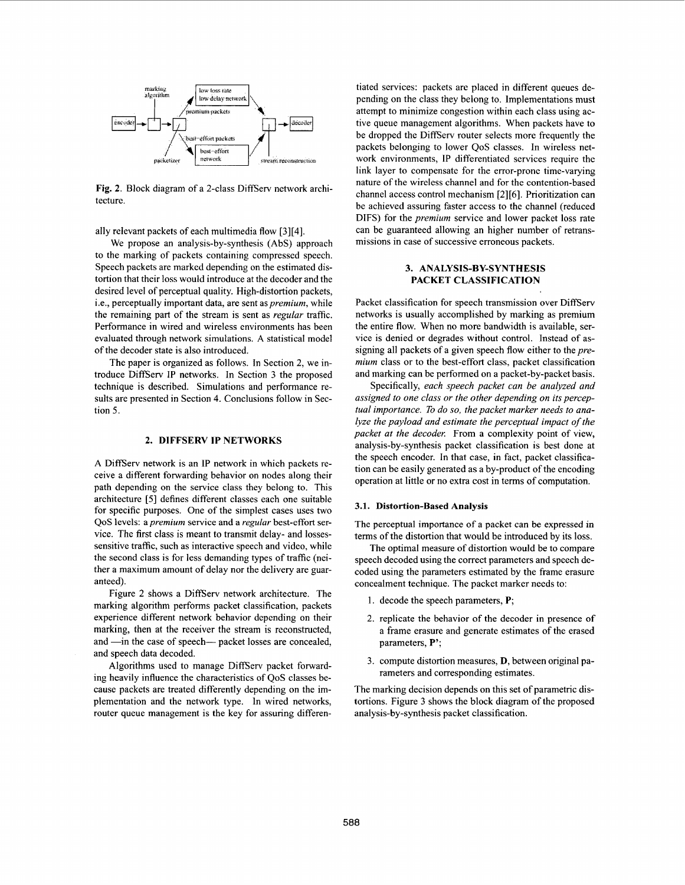

**Fig. 2.** Block diagram of a 2-class DiffServ network architecture.

ally relevant packets of each multimedia flow [3][4].

We propose an analysis-by-synthesis (AbS) approach to the marking of packets containing compressed speech. Speech packets are marked depending on the estimated distortion that their loss would introduce at the decoder and the desired level of perceptual quality. High-distortion packets, i.e., perceptually important data, are sent as *premium,* while the remaining part of the stream is sent as *regular* traffic. Performance in wired and wireless environments has been evaluated through network simulations. **A** statistical model of the decoder state is also introduced.

The paper is organized as follows. In Section **2,** we introduce DiffServ IP networks. In Section 3 the proposed technique is described. Simulations and performance results are presented in Section 4. Conclusions follow in Section **5.** 

#### **2. DIFFSERV IP NETWORKS**

A DiffServ network is an IP network in which packets receive a different forwarding behavior on nodes along their path depending on the service class they belong to. This architecture **[SI** defines different classes each one suitable for specific purposes. One of the simplest cases uses two QoS levels: a *premium* service and a *regular* best-effort service. The first class is meant to transmit delay- and lossessensitive traffic, such as interactive speech and video, while the second class is for less demanding types of traffic (neither a maximum amount of delay nor the delivery are guaranteed).

Figure **2** shows a DiffServ network architecture. The marking algorithm performs packet classification, packets experience different network behavior depending on their marking, then at the receiver the stream is reconstructed, and -in the case of speech- packet losses are concealed, and speech data decoded.

Algorithms used to manage DiffServ packet forwarding heavily influence the characteristics of QoS classes because packets are treated differently depending on the implementation and the network type. In wired networks, router queue management is the key for assuring differen-

tiated services: packets are placed in different queues depending on the class they belong to. lmplementations must attempt to minimize congestion within each class using active queue management algorithms. When packets have to be dropped the DiffServ router selects more frequently the packets belonging to lower QoS classes. In wireless network environments, 1P differentiated services require the link layer to compensate for the error-prone time-varying nature of the wireless channel and for the contention-based channel access control mechanism [2] [6]. Prioritization can be achieved assuring faster access to the channel (reduced DIFS) for the *premium* service and lower packet loss rate can be guaranteed allowing an higher number of retransmissions in case of successive erroneous packets.

# **3. ANALYSIS-BY-SYNTHESIS PACKET CLASSIFICATION**

Packet classification for speech transmission over DiffServ networks is usually accomplished by marking as premium the entire flow. When no more bandwidth is available, service is denied or degrades without control. Instead of assigning all packets of a given speech flow either to the *premium* class or to the best-effort class, packet classification and marking can be performed on a packet-by-packet basis.

Specifically, *each speech packet can be analyzed and assigned to one class or the other depending on its perceptual importance. To do* so, *the packet marker needs to analyze the payload and estimate the perceptual impact of the packet at the decoder.* From a complexity point of view, analysis-by-synthesis packet classification is best done at the speech encoder. In that case, in fact, packet classification can be easily generated as a by-product of the encoding operation at little or no extra cost in terms of computation.

## **3.1. Distortion-Based Analysis**

The perceptual importance of a packet can be expressed in terms of the distortion that would be introduced by its loss.

The optimal measure of distortion would be to compare speech decoded using the correct parameters and speech decoded using the parameters estimated by the frame erasure concealment technique. The packet marker needs to:

- 1. decode the speech parameters, **P;**
- 2. replicate the behavior of the decoder in presence **of**  a frame erasure and generate estimates of the erased parameters, **P';**
- 3. compute distortion measures, **D,** between original parameters and corresponding estimates.

The marking decision depends on this set of parametric distortions. [Figure 3](#page-2-0) shows the block diagram of the proposed analysis-by-synthesis packet classification.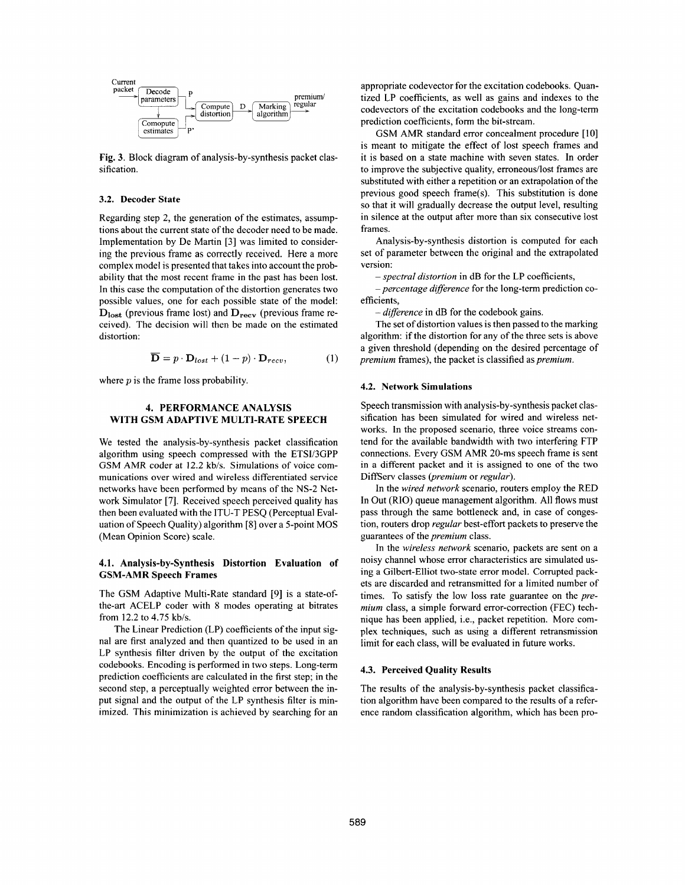<span id="page-2-0"></span>

**Fig. 3.** Block diagram of analysis-by-synthesis packet classification.

#### **3.2. Decoder State**

Regarding step 2, the generation of the estimates, assumptions about the current state of the decoder need to be made. Implementation by De Martin [3] was limited to considering the previous frame as correctly received. Here a more complex model is presented that takes into account the probability that the most recent frame in the past has been lost. In this case the computation of the distortion generates two possible values, one for each possible state of the model:  $D_{\text{lost}}$  (previous frame lost) and  $D_{\text{recv}}$  (previous frame received). The decision will then be made on the estimated distortion:

$$
\overline{\mathbf{D}} = p \cdot \mathbf{D}_{lost} + (1 - p) \cdot \mathbf{D}_{recv}, \tag{1}
$$

where *p* is the frame loss probability.

# **4. PERFORMANCE ANALYSIS WITH GSM ADAPTIVE MULTI-RATE SPEECH**

We tested the analysis-by-synthesis packet classification algorithm using speech compressed with the ETSI/3GPP GSM AMR coder at **12.2** kb/s. Simulations of voice communications over wired and wireless differentiated service networks have been performed by means of the **NS-2** Network Simulator [7]. Received speech perceived quality has then been evaluated with the ITU-T PESQ (Perceptual Evaluation of Speech Quality) algorithm **[8]** over a 5-point MOS (Mean Opinion Score) scale.

### **4.1. Analysis-by-Synthesis Distortion Evaluation of GSM-AMR Speech Frames**

The **GSM** Adaptive Multi-Rate standard [9] is a state-ofthe-art ACELP coder with **8** modes operating at bitrates from **12.2** to 4.75 kb/s.

The Linear Prediction (LP) coefficients of the input signal are first analyzed and then quantized to be used in an LP synthesis filter driven by the output of the excitation codebooks. Encoding is performed in two steps. Long-term prediction coefficients are calculated in the first step; in the second step, a perceptually weighted error between the input signal and the output of the LP synthesis filter is minimized. This minimization is achieved by searching for an appropriate codevector for the excitation codebooks. Quantized LP coefficients, as well as gains and indexes to the codevectors of the excitation codebooks and the long-term prediction coefficients, form the bit-stream.

**GSM** AMR standard error concealment procedure **[IO]**  is meant to mitigate the effect of lost speech frames and it is based on a state machine with seven states. In order to improve the subjective quality, erroneous/lost frames are substituted with either a repetition or an extrapolation of the previous good speech frame(s). This substitution is done so that it will gradually decrease the output level, resulting in silence at the output after more than six consecutive lost frames.

Analysis-by-synthesis distortion is computed for each set of parameter between the original and the extrapolated version:

- *spectral distortion* in dB for the LP coefficients,

*-percentage difference* for the long-term prediction co efficients,

- *difference* in dB for the codebook gains.

The set of distortion values is then passed to the marking algorithm: if the distortion for any of the three sets is above a given threshold (depending on the desired percentage of *premium* frames), the packet is classified as *premium.* 

### **4.2. Network Simulations**

Speech transmission with analysis-by-synthesis packet classification has been simulated for wired and wireless networks. In the proposed scenario, three voice streams contend for the available bandwidth with two interfering FTP connections. Every GSM AMR 20-ms speech frame is sent in a different packet and it is assigned to one of the two DiffServ classes *(premium* or *regular).* 

In the *wired network* scenario, routers employ the RED In Out (RIO) queue management algorithm. All flows must pass through the same bottleneck and, in case of congestion, routers drop *regular* best-effort packets to preserve the guarantees of the *premium* class.

In the *wireless network* scenario, packets are sent on a noisy channel whose error characteristics are simulated using a Gilbert-Elliot two-state error model. Corrupted packets are discarded and retransmitted for a limited number of times. To satisfy the low **loss** rate guarantee on the *premium* class, a simple forward error-correction (FEC) technique has been applied, i.e., packet repetition. More complex techniques, such as using a different retransmission limit for each class, will be evaluated in future works.

# **4.3. Perceived Quality Results**

The results of the analysis-by-synthesis packet classification algorithm have been compared to the results of a reference random classification algorithm, which has been pro-